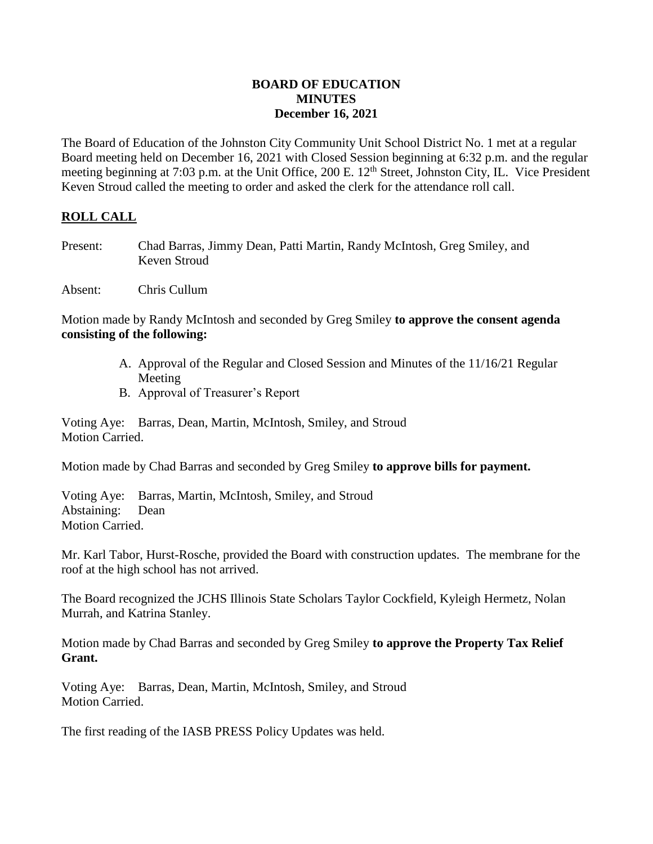### **BOARD OF EDUCATION MINUTES December 16, 2021**

The Board of Education of the Johnston City Community Unit School District No. 1 met at a regular Board meeting held on December 16, 2021 with Closed Session beginning at 6:32 p.m. and the regular meeting beginning at 7:03 p.m. at the Unit Office, 200 E. 12<sup>th</sup> Street, Johnston City, IL. Vice President Keven Stroud called the meeting to order and asked the clerk for the attendance roll call.

# **ROLL CALL**

- Present: Chad Barras, Jimmy Dean, Patti Martin, Randy McIntosh, Greg Smiley, and Keven Stroud
- Absent: Chris Cullum

Motion made by Randy McIntosh and seconded by Greg Smiley **to approve the consent agenda consisting of the following:**

- A. Approval of the Regular and Closed Session and Minutes of the 11/16/21 Regular Meeting
- B. Approval of Treasurer's Report

Voting Aye: Barras, Dean, Martin, McIntosh, Smiley, and Stroud Motion Carried.

Motion made by Chad Barras and seconded by Greg Smiley **to approve bills for payment.**

Voting Aye: Barras, Martin, McIntosh, Smiley, and Stroud Abstaining: Dean Motion Carried.

Mr. Karl Tabor, Hurst-Rosche, provided the Board with construction updates. The membrane for the roof at the high school has not arrived.

The Board recognized the JCHS Illinois State Scholars Taylor Cockfield, Kyleigh Hermetz, Nolan Murrah, and Katrina Stanley.

Motion made by Chad Barras and seconded by Greg Smiley **to approve the Property Tax Relief Grant.**

Voting Aye: Barras, Dean, Martin, McIntosh, Smiley, and Stroud Motion Carried.

The first reading of the IASB PRESS Policy Updates was held.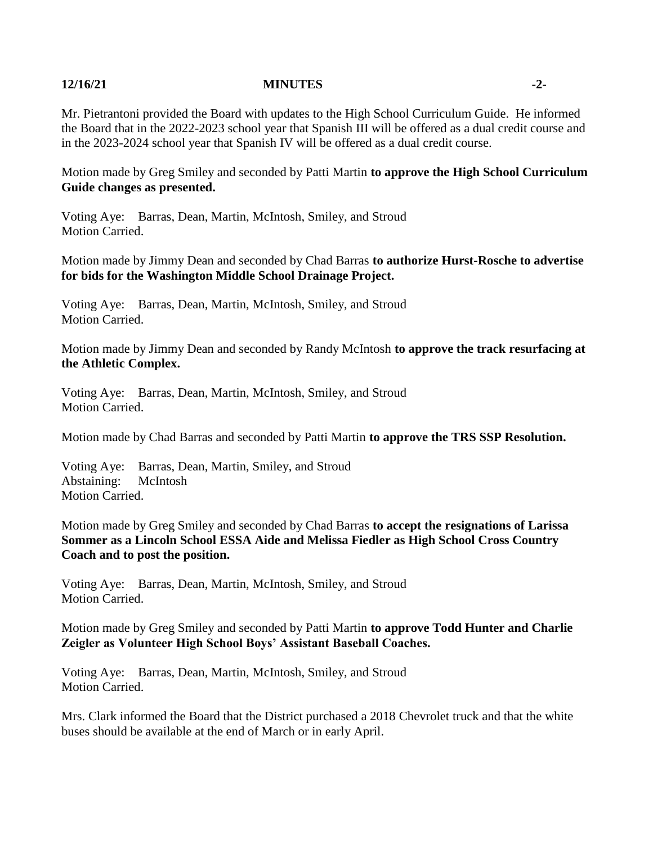### **12/16/21 MINUTES -2-**

Mr. Pietrantoni provided the Board with updates to the High School Curriculum Guide. He informed the Board that in the 2022-2023 school year that Spanish III will be offered as a dual credit course and in the 2023-2024 school year that Spanish IV will be offered as a dual credit course.

Motion made by Greg Smiley and seconded by Patti Martin **to approve the High School Curriculum Guide changes as presented.**

Voting Aye: Barras, Dean, Martin, McIntosh, Smiley, and Stroud Motion Carried.

Motion made by Jimmy Dean and seconded by Chad Barras **to authorize Hurst-Rosche to advertise for bids for the Washington Middle School Drainage Project.**

Voting Aye: Barras, Dean, Martin, McIntosh, Smiley, and Stroud Motion Carried.

Motion made by Jimmy Dean and seconded by Randy McIntosh **to approve the track resurfacing at the Athletic Complex.**

Voting Aye: Barras, Dean, Martin, McIntosh, Smiley, and Stroud Motion Carried.

Motion made by Chad Barras and seconded by Patti Martin **to approve the TRS SSP Resolution.**

Voting Aye: Barras, Dean, Martin, Smiley, and Stroud Abstaining: McIntosh Motion Carried.

Motion made by Greg Smiley and seconded by Chad Barras **to accept the resignations of Larissa Sommer as a Lincoln School ESSA Aide and Melissa Fiedler as High School Cross Country Coach and to post the position.**

Voting Aye: Barras, Dean, Martin, McIntosh, Smiley, and Stroud Motion Carried.

Motion made by Greg Smiley and seconded by Patti Martin **to approve Todd Hunter and Charlie Zeigler as Volunteer High School Boys' Assistant Baseball Coaches.**

Voting Aye: Barras, Dean, Martin, McIntosh, Smiley, and Stroud Motion Carried.

Mrs. Clark informed the Board that the District purchased a 2018 Chevrolet truck and that the white buses should be available at the end of March or in early April.